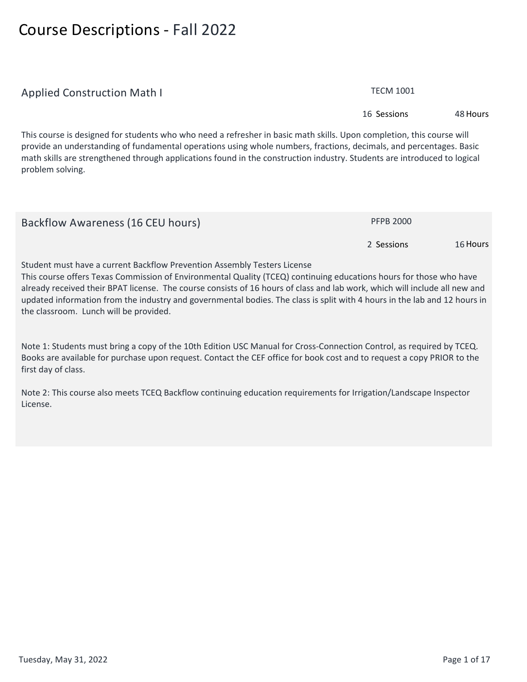## **Course Descriptions - Fall 2022**

| Applied Construction Math I                                                                                                                                                                                                                                                                                                                                                                  | <b>I ECIVI TUUT</b> |          |
|----------------------------------------------------------------------------------------------------------------------------------------------------------------------------------------------------------------------------------------------------------------------------------------------------------------------------------------------------------------------------------------------|---------------------|----------|
|                                                                                                                                                                                                                                                                                                                                                                                              | 16 Sessions         | 48 Hours |
| This course is designed for students who who need a refresher in basic math skills. Upon completion, this course will<br>provide an understanding of fundamental operations using whole numbers, fractions, decimals, and percentages. Basic<br>math skills are strengthened through applications found in the construction industry. Students are introduced to logical<br>problem solving. |                     |          |
| Backflow Awareness (16 CEU hours)                                                                                                                                                                                                                                                                                                                                                            | <b>PFPB 2000</b>    |          |
|                                                                                                                                                                                                                                                                                                                                                                                              | 2 Sessions          | 16 Hours |
| Student must have a current Backflow Prevention Assembly Testers License                                                                                                                                                                                                                                                                                                                     |                     |          |

**This course offers Texas Commission of Environmental Quality (TCEQ) continuing educations hours for those who have already received their BPAT license. The course consists of 16 hours of class and lab work, which will include all new and updated information from the industry and governmental bodies. The class is split with 4 hours in the lab and 12 hours in the classroom. Lunch will be provided.**

**Note 1: Students must bring a copy of the 10th Edition USC Manual for Cross-Connection Control, as required by TCEQ. Books are available for purchase upon request. Contact the CEF office for book cost and to request a copy PRIOR to the first day of class.**

**Note 2: This course also meets TCEQ Backflow continuing education requirements for Irrigation/Landscape Inspector License.**

**Applied Construction Math I TECM 1001**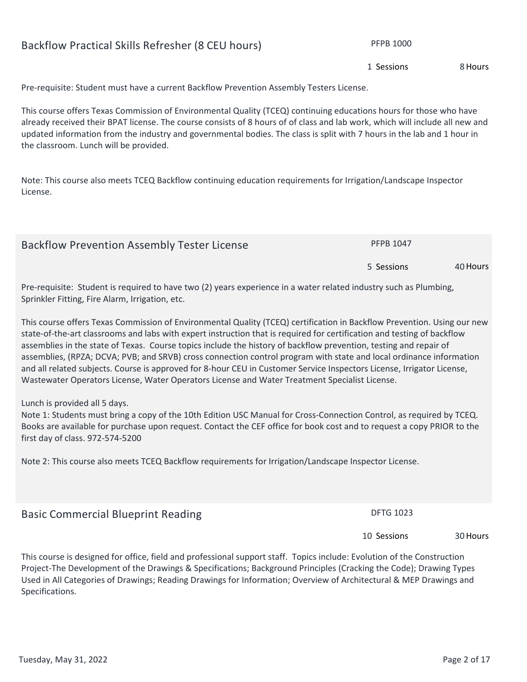# **Pre-requisite: Student must have a current Backflow Prevention Assembly Testers License.**

**This course offers Texas Commission of Environmental Quality (TCEQ) continuing educations hours for those who have already received their BPAT license. The course consists of 8 hours of of class and lab work, which will include all new and updated information from the industry and governmental bodies. The class is split with 7 hours in the lab and 1 hour in the classroom. Lunch will be provided.**

**Note: This course also meets TCEQ Backflow continuing education requirements for Irrigation/Landscape Inspector License.**

| <b>Backflow Prevention Assembly Tester License</b> | <b>PFPB 1047</b> |          |
|----------------------------------------------------|------------------|----------|
|                                                    | 5 Sessions       | 40 Hours |

**Pre-requisite: Student is required to have two (2) years experience in a water related industry such as Plumbing, Sprinkler Fitting, Fire Alarm, Irrigation, etc.** 

**This course offers Texas Commission of Environmental Quality (TCEQ) certification in Backflow Prevention. Using our new state-of-the-art classrooms and labs with expert instruction that is required for certification and testing of backflow assemblies in the state of Texas. Course topics include the history of backflow prevention, testing and repair of assemblies, (RPZA; DCVA; PVB; and SRVB) cross connection control program with state and local ordinance information and all related subjects. Course is approved for 8-hour CEU in Customer Service Inspectors License, Irrigator License, Wastewater Operators License, Water Operators License and Water Treatment Specialist License.** 

**Lunch is provided all 5 days.**

**Note 1: Students must bring a copy of the 10th Edition USC Manual for Cross-Connection Control, as required by TCEQ. Books are available for purchase upon request. Contact the CEF office for book cost and to request a copy PRIOR to the first day of class. 972-574-5200**

**Note 2: This course also meets TCEQ Backflow requirements for Irrigation/Landscape Inspector License.**

**Basic Commercial Blueprint Reading Basic Commercial Blueprint Reading DETG 1023** 

**This course is designed for office, field and professional support staff. Topics include: Evolution of the Construction Project-The Development of the Drawings & Specifications; Background Principles (Cracking the Code); Drawing Types Used in All Categories of Drawings; Reading Drawings for Information; Overview of Architectural & MEP Drawings and Specifications.**

**10 Sessions**

**30Hours**

**Backflow Practical Skills Refresher (8 CEU hours)** PFPB 1000

**1 Sessions**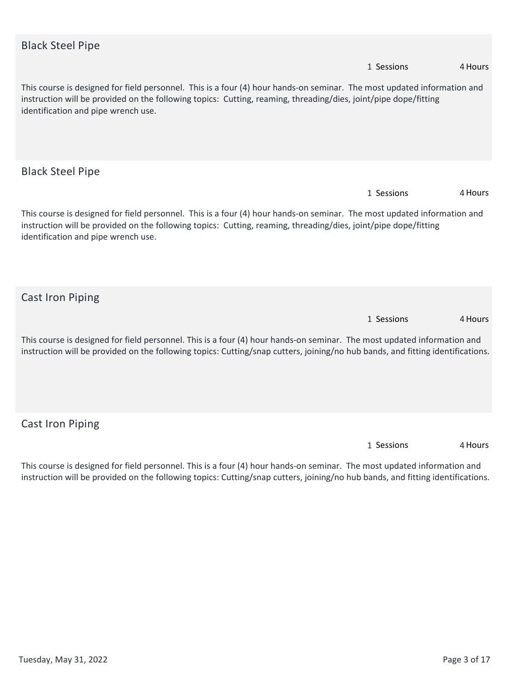| <b>Black Steel Pipe</b>                                                                                                                                                                                                                                                           |            |         |
|-----------------------------------------------------------------------------------------------------------------------------------------------------------------------------------------------------------------------------------------------------------------------------------|------------|---------|
|                                                                                                                                                                                                                                                                                   | 1 Sessions | 4 Hours |
| This course is designed for field personnel. This is a four (4) hour hands-on seminar. The most updated information and<br>instruction will be provided on the following topics: Cutting, reaming, threading/dies, joint/pipe dope/fitting<br>identification and pipe wrench use. |            |         |
| <b>Black Steel Pipe</b>                                                                                                                                                                                                                                                           |            |         |
|                                                                                                                                                                                                                                                                                   | 1 Sessions | 4 Hours |
| This course is designed for field personnel. This is a four (4) hour hands-on seminar. The most updated information and<br>instruction will be provided on the following topics: Cutting, reaming, threading/dies, joint/pipe dope/fitting<br>identification and pipe wrench use. |            |         |
| <b>Cast Iron Piping</b>                                                                                                                                                                                                                                                           |            |         |
|                                                                                                                                                                                                                                                                                   | 1 Sessions | 4 Hours |
| This course is designed for field personnel. This is a four (4) hour hands-on seminar. The most updated information and<br>instruction will be provided on the following topics: Cutting/snap cutters, joining/no hub bands, and fitting identifications.                         |            |         |
| <b>Cast Iron Piping</b>                                                                                                                                                                                                                                                           |            |         |
|                                                                                                                                                                                                                                                                                   | 1 Sessions | 4 Hours |
| This course is designed for field nersonnel. This is a four $(4)$ hour hands-on seminar. The most undated information and                                                                                                                                                         |            |         |

**This course is designed for field personnel. This is a four (4) hour hands-on seminar. The most updated information and instruction will be provided on the following topics: Cutting/snap cutters, joining/no hub bands, and fitting identifications.**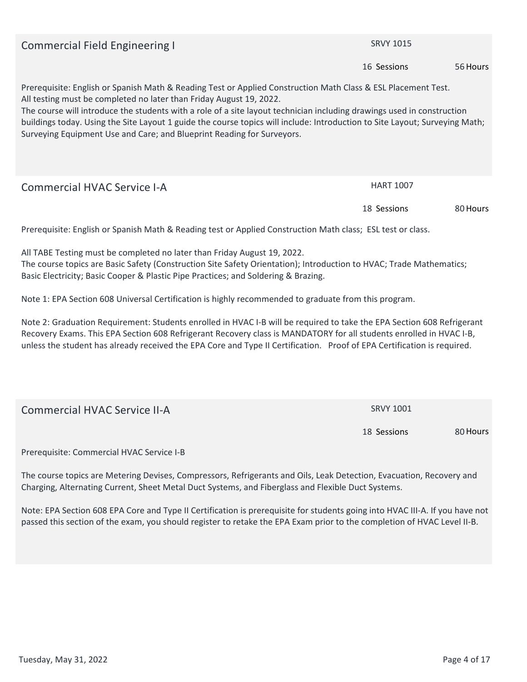**Commercial Field Engineering I SRVY 1015 56Hours Prerequisite: English or Spanish Math & Reading Test or Applied Construction Math Class & ESL Placement Test. All testing must be completed no later than Friday August 19, 2022. The course will introduce the students with a role of a site layout technician including drawings used in construction buildings today. Using the Site Layout 1 guide the course topics will include: Introduction to Site Layout; Surveying Math; Surveying Equipment Use and Care; and Blueprint Reading for Surveyors. 16 Sessions Commercial HVAC Service I-A HART 1007 80Hours Prerequisite: English or Spanish Math & Reading test or Applied Construction Math class; ESL test or class. 18 Sessions**

**All TABE Testing must be completed no later than Friday August 19, 2022. The course topics are Basic Safety (Construction Site Safety Orientation); Introduction to HVAC; Trade Mathematics; Basic Electricity; Basic Cooper & Plastic Pipe Practices; and Soldering & Brazing.** 

**Note 1: EPA Section 608 Universal Certification is highly recommended to graduate from this program.** 

**Note 2: Graduation Requirement: Students enrolled in HVAC I-B will be required to take the EPA Section 608 Refrigerant Recovery Exams. This EPA Section 608 Refrigerant Recovery class is MANDATORY for all students enrolled in HVAC I-B, unless the student has already received the EPA Core and Type II Certification. Proof of EPA Certification is required.**

| Commercial HVAC Service II-A                                                                                   | <b>SRVY 1001</b> |          |
|----------------------------------------------------------------------------------------------------------------|------------------|----------|
|                                                                                                                | 18 Sessions      | 80 Hours |
| $D_{\text{max}}$ and $\text{min}$ $D_{\text{max}}$ and $\text{min}$ $\text{min}$ $D_{\text{max}}$ $\text{min}$ |                  |          |

**Prerequisite: Commercial HVAC Service I-B**

**The course topics are Metering Devises, Compressors, Refrigerants and Oils, Leak Detection, Evacuation, Recovery and Charging, Alternating Current, Sheet Metal Duct Systems, and Fiberglass and Flexible Duct Systems.**

**Note: EPA Section 608 EPA Core and Type II Certification is prerequisite for students going into HVAC III-A. If you have not passed this section of the exam, you should register to retake the EPA Exam prior to the completion of HVAC Level II-B.**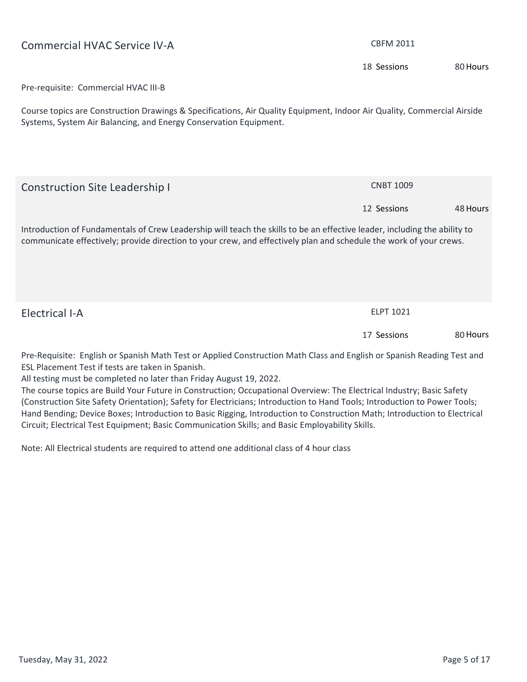| <b>Commercial HVAC Service IV-A</b>                                                                                                                                                                                                             | <b>CBFM 2011</b> |          |
|-------------------------------------------------------------------------------------------------------------------------------------------------------------------------------------------------------------------------------------------------|------------------|----------|
|                                                                                                                                                                                                                                                 | 18 Sessions      | 80 Hours |
| Pre-requisite: Commercial HVAC III-B                                                                                                                                                                                                            |                  |          |
| Course topics are Construction Drawings & Specifications, Air Quality Equipment, Indoor Air Quality, Commercial Airside<br>Systems, System Air Balancing, and Energy Conservation Equipment.                                                    |                  |          |
| <b>Construction Site Leadership I</b>                                                                                                                                                                                                           | <b>CNBT 1009</b> |          |
|                                                                                                                                                                                                                                                 | 12 Sessions      | 48 Hours |
| Introduction of Fundamentals of Crew Leadership will teach the skills to be an effective leader, including the ability to<br>communicate effectively; provide direction to your crew, and effectively plan and schedule the work of your crews. |                  |          |
| <b>Electrical I-A</b>                                                                                                                                                                                                                           | <b>ELPT 1021</b> |          |
|                                                                                                                                                                                                                                                 | 17 Sessions      | 80 Hours |
| Pre-Requisite: English or Spanish Math Test or Applied Construction Math Class and English or Spanish Reading Test and<br>ESL Placement Test if tests are taken in Spanish.                                                                     |                  |          |

**All testing must be completed no later than Friday August 19, 2022.**

**The course topics are Build Your Future in Construction; Occupational Overview: The Electrical Industry; Basic Safety (Construction Site Safety Orientation); Safety for Electricians; Introduction to Hand Tools; Introduction to Power Tools; Hand Bending; Device Boxes; Introduction to Basic Rigging, Introduction to Construction Math; Introduction to Electrical Circuit; Electrical Test Equipment; Basic Communication Skills; and Basic Employability Skills.**

**Note: All Electrical students are required to attend one additional class of 4 hour class**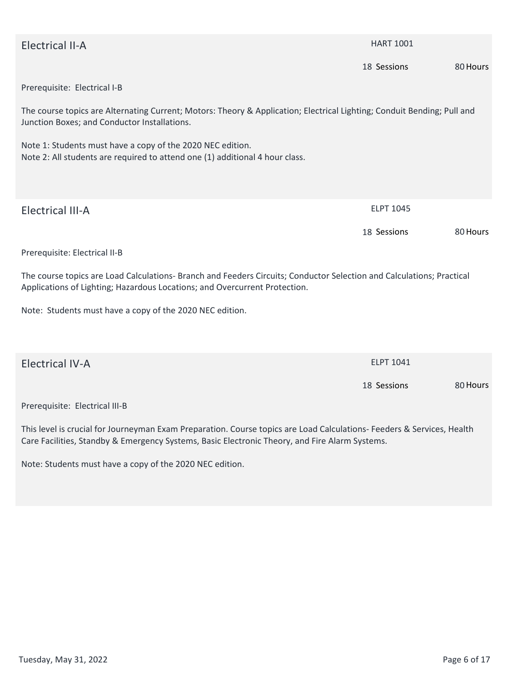| <b>Electrical II-A</b>                                                                                                                                                                              | <b>HART 1001</b> |          |
|-----------------------------------------------------------------------------------------------------------------------------------------------------------------------------------------------------|------------------|----------|
|                                                                                                                                                                                                     | 18 Sessions      | 80 Hours |
| Prerequisite: Electrical I-B                                                                                                                                                                        |                  |          |
| The course topics are Alternating Current; Motors: Theory & Application; Electrical Lighting; Conduit Bending; Pull and<br>Junction Boxes; and Conductor Installations.                             |                  |          |
| Note 1: Students must have a copy of the 2020 NEC edition.<br>Note 2: All students are required to attend one (1) additional 4 hour class.                                                          |                  |          |
| <b>Electrical III-A</b>                                                                                                                                                                             | ELPT 1045        |          |
|                                                                                                                                                                                                     | 18 Sessions      | 80 Hours |
| Prerequisite: Electrical II-B                                                                                                                                                                       |                  |          |
| The course topics are Load Calculations- Branch and Feeders Circuits; Conductor Selection and Calculations; Practical<br>Applications of Lighting; Hazardous Locations; and Overcurrent Protection. |                  |          |
| Note: Students must have a copy of the 2020 NEC edition.                                                                                                                                            |                  |          |
|                                                                                                                                                                                                     |                  |          |
| <b>Electrical IV-A</b>                                                                                                                                                                              | <b>ELPT 1041</b> |          |
|                                                                                                                                                                                                     | 18 Sessions      | 80 Hours |
|                                                                                                                                                                                                     |                  |          |

**Prerequisite: Electrical III-B**

**This level is crucial for Journeyman Exam Preparation. Course topics are Load Calculations- Feeders & Services, Health Care Facilities, Standby & Emergency Systems, Basic Electronic Theory, and Fire Alarm Systems.** 

**Note: Students must have a copy of the 2020 NEC edition.**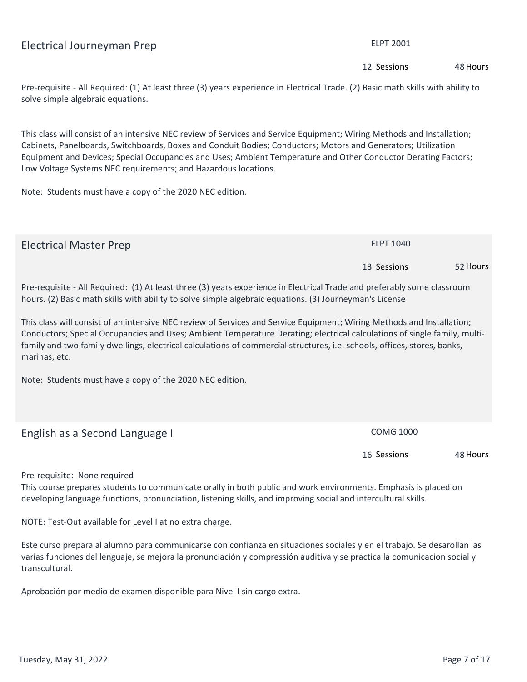#### **Electrical Journeyman Prep ELPT 2001**

**Pre-requisite - All Required: (1) At least three (3) years experience in Electrical Trade. (2) Basic math skills with ability to solve simple algebraic equations.** 

**This class will consist of an intensive NEC review of Services and Service Equipment; Wiring Methods and Installation; Cabinets, Panelboards, Switchboards, Boxes and Conduit Bodies; Conductors; Motors and Generators; Utilization Equipment and Devices; Special Occupancies and Uses; Ambient Temperature and Other Conductor Derating Factors; Low Voltage Systems NEC requirements; and Hazardous locations.**

**Electrical Master Prep ELPT 1040**

**Note: Students must have a copy of the 2020 NEC edition.**

**This class will consist of an intensive NEC review of Services and Service Equipment; Wiring Methods and Installation; Conductors; Special Occupancies and Uses; Ambient Temperature Derating; electrical calculations of single family, multifamily and two family dwellings, electrical calculations of commercial structures, i.e. schools, offices, stores, banks, marinas, etc.**

**Note: Students must have a copy of the 2020 NEC edition.**

**Pre-requisite: None required**

**This course prepares students to communicate orally in both public and work environments. Emphasis is placed on developing language functions, pronunciation, listening skills, and improving social and intercultural skills.**

**NOTE: Test-Out available for Level I at no extra charge.**

**Este curso prepara al alumno para communicarse con confianza en situaciones sociales y en el trabajo. Se desarollan las varias funciones del lenguaje, se mejora la pronunciación y compressión auditiva y se practica la comunicacion social y transcultural.** 

**Aprobación por medio de examen disponible para Nivel I sin cargo extra.**

**Pre-requisite - All Required: (1) At least three (3) years experience in Electrical Trade and preferably some classroom hours. (2) Basic math skills with ability to solve simple algebraic equations. (3) Journeyman's License English as a Second Language I COMG 1000** 

**16 Sessions**

**48Hours**

**52Hours**

**12 Sessions**

**13 Sessions**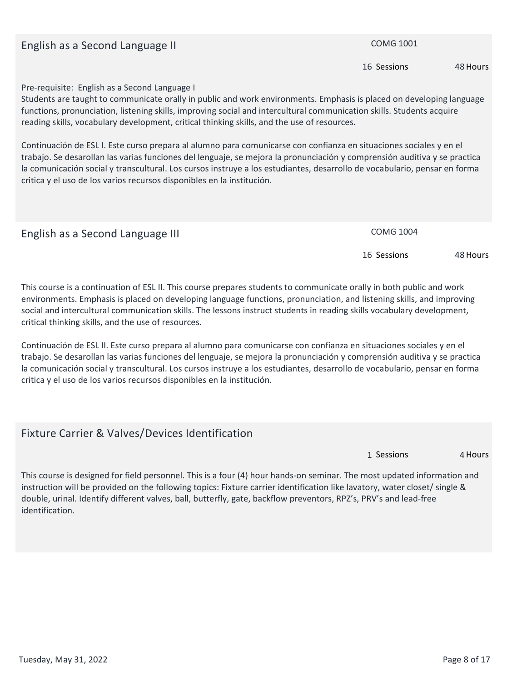#### **English as a Second Language II COMG 1001 COMG 1001**

**Pre-requisite: English as a Second Language I**

**Students are taught to communicate orally in public and work environments. Emphasis is placed on developing language functions, pronunciation, listening skills, improving social and intercultural communication skills. Students acquire reading skills, vocabulary development, critical thinking skills, and the use of resources.**

**Continuación de ESL I. Este curso prepara al alumno para comunicarse con confianza en situaciones sociales y en el trabajo. Se desarollan las varias funciones del lenguaje, se mejora la pronunciación y comprensión auditiva y se practica la comunicación social y transcultural. Los cursos instruye a los estudiantes, desarrollo de vocabulario, pensar en forma critica y el uso de los varios recursos disponibles en la institución.**

| English as a Second Language III | <b>COMG 1004</b> |          |
|----------------------------------|------------------|----------|
|                                  | 16 Sessions      | 48 Hours |

**This course is a continuation of ESL II. This course prepares students to communicate orally in both public and work environments. Emphasis is placed on developing language functions, pronunciation, and listening skills, and improving social and intercultural communication skills. The lessons instruct students in reading skills vocabulary development, critical thinking skills, and the use of resources.**

**Continuación de ESL II. Este curso prepara al alumno para comunicarse con confianza en situaciones sociales y en el trabajo. Se desarollan las varias funciones del lenguaje, se mejora la pronunciación y comprensión auditiva y se practica la comunicación social y transcultural. Los cursos instruye a los estudiantes, desarrollo de vocabulario, pensar en forma critica y el uso de los varios recursos disponibles en la institución.**

#### **Fixture Carrier & Valves/Devices Identification**

**4Hours 1 Sessions**

**This course is designed for field personnel. This is a four (4) hour hands-on seminar. The most updated information and instruction will be provided on the following topics: Fixture carrier identification like lavatory, water closet/ single & double, urinal. Identify different valves, ball, butterfly, gate, backflow preventors, RPZ's, PRV's and lead-free identification.**

**16 Sessions**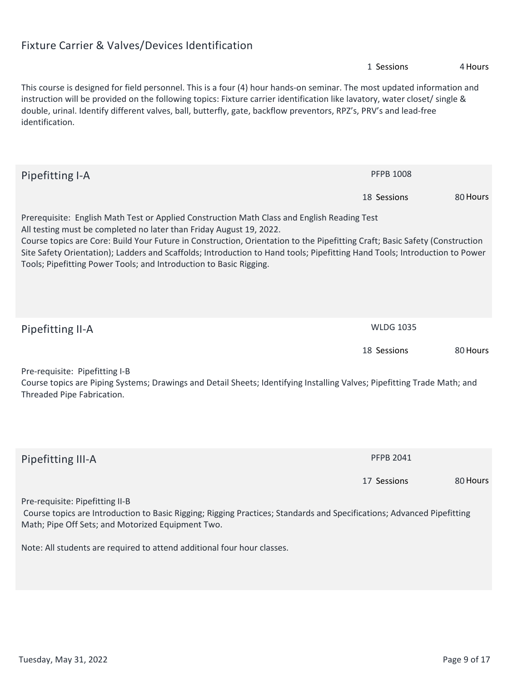## **Fixture Carrier & Valves/Devices Identification**

|                                                                                                                                                                                                                                                                                                                                                                                                                                                                                                       | 1 Sessions       | 4 Hours  |
|-------------------------------------------------------------------------------------------------------------------------------------------------------------------------------------------------------------------------------------------------------------------------------------------------------------------------------------------------------------------------------------------------------------------------------------------------------------------------------------------------------|------------------|----------|
| This course is designed for field personnel. This is a four (4) hour hands-on seminar. The most updated information and<br>instruction will be provided on the following topics: Fixture carrier identification like lavatory, water closet/ single &<br>double, urinal. Identify different valves, ball, butterfly, gate, backflow preventors, RPZ's, PRV's and lead-free<br>identification.                                                                                                         |                  |          |
| Pipefitting I-A                                                                                                                                                                                                                                                                                                                                                                                                                                                                                       | <b>PFPB 1008</b> |          |
|                                                                                                                                                                                                                                                                                                                                                                                                                                                                                                       | 18 Sessions      | 80 Hours |
| Prerequisite: English Math Test or Applied Construction Math Class and English Reading Test<br>All testing must be completed no later than Friday August 19, 2022.<br>Course topics are Core: Build Your Future in Construction, Orientation to the Pipefitting Craft; Basic Safety (Construction<br>Site Safety Orientation); Ladders and Scaffolds; Introduction to Hand tools; Pipefitting Hand Tools; Introduction to Power<br>Tools; Pipefitting Power Tools; and Introduction to Basic Rigging. |                  |          |
| Pipefitting II-A                                                                                                                                                                                                                                                                                                                                                                                                                                                                                      | <b>WLDG 1035</b> |          |
|                                                                                                                                                                                                                                                                                                                                                                                                                                                                                                       | 18 Sessions      | 80 Hours |
| Pre-requisite: Pipefitting I-B<br>Course topics are Piping Systems; Drawings and Detail Sheets; Identifying Installing Valves; Pipefitting Trade Math; and<br>Threaded Pipe Fabrication.                                                                                                                                                                                                                                                                                                              |                  |          |
| Pipefitting III-A                                                                                                                                                                                                                                                                                                                                                                                                                                                                                     | <b>PFPB 2041</b> |          |
|                                                                                                                                                                                                                                                                                                                                                                                                                                                                                                       | 17 Sessions      | 80 Hours |
| Pre-requisite: Pipefitting II-B<br>Course topics are Introduction to Basic Rigging; Rigging Practices; Standards and Specifications; Advanced Pipefitting<br>Math; Pipe Off Sets; and Motorized Equipment Two.                                                                                                                                                                                                                                                                                        |                  |          |
| Note: All students are required to attend additional four hour classes.                                                                                                                                                                                                                                                                                                                                                                                                                               |                  |          |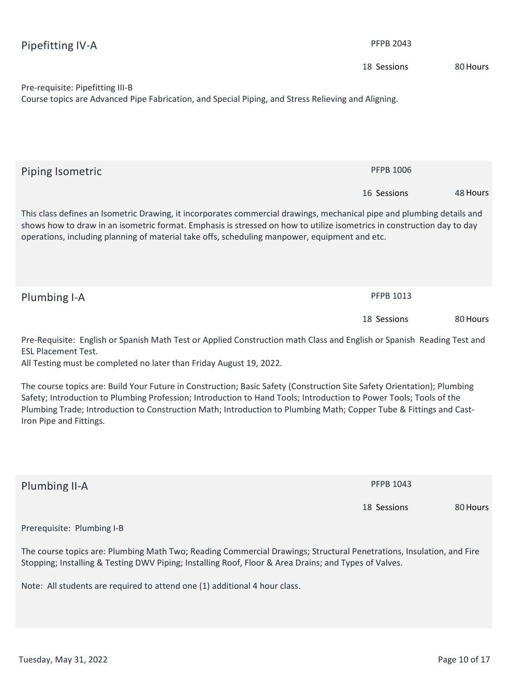| Pipefitting IV-A                                                                                                                                                                                                                                                                                                                                                                               | <b>PFPB 2043</b> |          |
|------------------------------------------------------------------------------------------------------------------------------------------------------------------------------------------------------------------------------------------------------------------------------------------------------------------------------------------------------------------------------------------------|------------------|----------|
|                                                                                                                                                                                                                                                                                                                                                                                                | 18 Sessions      | 80 Hours |
| Pre-requisite: Pipefitting III-B<br>Course topics are Advanced Pipe Fabrication, and Special Piping, and Stress Relieving and Aligning.                                                                                                                                                                                                                                                        |                  |          |
| Piping Isometric                                                                                                                                                                                                                                                                                                                                                                               | <b>PFPB 1006</b> |          |
|                                                                                                                                                                                                                                                                                                                                                                                                | 16 Sessions      | 48 Hours |
| This class defines an Isometric Drawing, it incorporates commercial drawings, mechanical pipe and plumbing details and<br>shows how to draw in an isometric format. Emphasis is stressed on how to utilize isometrics in construction day to day<br>operations, including planning of material take offs, scheduling manpower, equipment and etc.                                              |                  |          |
| Plumbing I-A                                                                                                                                                                                                                                                                                                                                                                                   | PFPB 1013        |          |
|                                                                                                                                                                                                                                                                                                                                                                                                | 18 Sessions      | 80 Hours |
| Pre-Requisite: English or Spanish Math Test or Applied Construction math Class and English or Spanish Reading Test and<br><b>ESL Placement Test.</b><br>All Testing must be completed no later than Friday August 19, 2022.                                                                                                                                                                    |                  |          |
| The course topics are: Build Your Future in Construction; Basic Safety (Construction Site Safety Orientation); Plumbing<br>Safety; Introduction to Plumbing Profession; Introduction to Hand Tools; Introduction to Power Tools; Tools of the<br>Plumbing Trade; Introduction to Construction Math; Introduction to Plumbing Math; Copper Tube & Fittings and Cast-<br>Iron Pipe and Fittings. |                  |          |
| Plumbing II-A                                                                                                                                                                                                                                                                                                                                                                                  | <b>PFPB 1043</b> |          |
|                                                                                                                                                                                                                                                                                                                                                                                                | 18 Sessions      | 80 Hours |
| Prerequisite: Plumbing I-B                                                                                                                                                                                                                                                                                                                                                                     |                  |          |
| The course topics are: Plumbing Math Two; Reading Commercial Drawings; Structural Penetrations, Insulation, and Fire<br>Stopping; Installing & Testing DWV Piping; Installing Roof, Floor & Area Drains; and Types of Valves.                                                                                                                                                                  |                  |          |
| Note: All students are required to attend one (1) additional 4 hour class.                                                                                                                                                                                                                                                                                                                     |                  |          |
|                                                                                                                                                                                                                                                                                                                                                                                                |                  |          |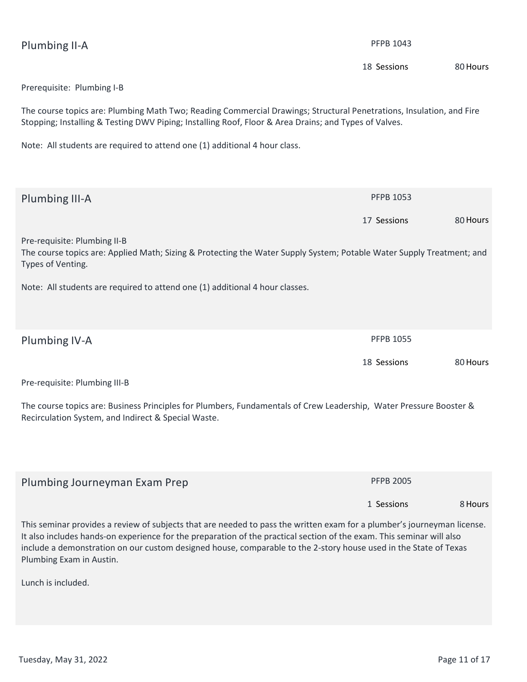| Plumbing II-A                                                                                                                                                                                                                                                                                                                                                                                    | <b>PFPB 1043</b> |          |
|--------------------------------------------------------------------------------------------------------------------------------------------------------------------------------------------------------------------------------------------------------------------------------------------------------------------------------------------------------------------------------------------------|------------------|----------|
|                                                                                                                                                                                                                                                                                                                                                                                                  | 18 Sessions      | 80 Hours |
| Prerequisite: Plumbing I-B                                                                                                                                                                                                                                                                                                                                                                       |                  |          |
| The course topics are: Plumbing Math Two; Reading Commercial Drawings; Structural Penetrations, Insulation, and Fire<br>Stopping; Installing & Testing DWV Piping; Installing Roof, Floor & Area Drains; and Types of Valves.                                                                                                                                                                    |                  |          |
| Note: All students are required to attend one (1) additional 4 hour class.                                                                                                                                                                                                                                                                                                                       |                  |          |
|                                                                                                                                                                                                                                                                                                                                                                                                  |                  |          |
| Plumbing III-A                                                                                                                                                                                                                                                                                                                                                                                   | <b>PFPB 1053</b> |          |
|                                                                                                                                                                                                                                                                                                                                                                                                  | 17 Sessions      | 80 Hours |
| Pre-requisite: Plumbing II-B<br>The course topics are: Applied Math; Sizing & Protecting the Water Supply System; Potable Water Supply Treatment; and<br>Types of Venting.                                                                                                                                                                                                                       |                  |          |
| Note: All students are required to attend one (1) additional 4 hour classes.                                                                                                                                                                                                                                                                                                                     |                  |          |
|                                                                                                                                                                                                                                                                                                                                                                                                  |                  |          |
| Plumbing IV-A                                                                                                                                                                                                                                                                                                                                                                                    | <b>PFPB 1055</b> |          |
|                                                                                                                                                                                                                                                                                                                                                                                                  | 18 Sessions      | 80 Hours |
| Pre-requisite: Plumbing III-B                                                                                                                                                                                                                                                                                                                                                                    |                  |          |
| The course topics are: Business Principles for Plumbers, Fundamentals of Crew Leadership, Water Pressure Booster &<br>Recirculation System, and Indirect & Special Waste.                                                                                                                                                                                                                        |                  |          |
|                                                                                                                                                                                                                                                                                                                                                                                                  |                  |          |
| Plumbing Journeyman Exam Prep                                                                                                                                                                                                                                                                                                                                                                    | <b>PFPB 2005</b> |          |
|                                                                                                                                                                                                                                                                                                                                                                                                  | 1 Sessions       | 8 Hours  |
| This seminar provides a review of subjects that are needed to pass the written exam for a plumber's journeyman license.<br>It also includes hands-on experience for the preparation of the practical section of the exam. This seminar will also<br>include a demonstration on our custom designed house, comparable to the 2-story house used in the State of Texas<br>Plumbing Exam in Austin. |                  |          |
| Lunch is included.                                                                                                                                                                                                                                                                                                                                                                               |                  |          |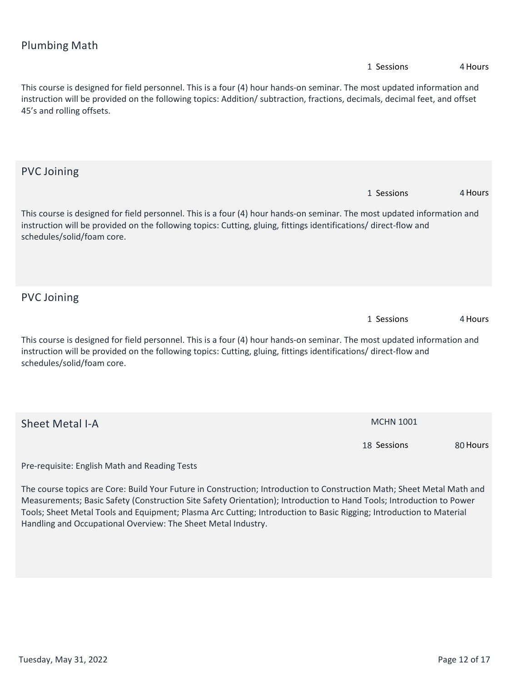| <b>Plumbing Math</b>                                                                                                                                                                                                                                                               |                  |          |
|------------------------------------------------------------------------------------------------------------------------------------------------------------------------------------------------------------------------------------------------------------------------------------|------------------|----------|
|                                                                                                                                                                                                                                                                                    | 1 Sessions       | 4 Hours  |
| This course is designed for field personnel. This is a four (4) hour hands-on seminar. The most updated information and<br>instruction will be provided on the following topics: Addition/ subtraction, fractions, decimals, decimal feet, and offset<br>45's and rolling offsets. |                  |          |
| <b>PVC Joining</b>                                                                                                                                                                                                                                                                 |                  |          |
|                                                                                                                                                                                                                                                                                    | 1 Sessions       | 4 Hours  |
| This course is designed for field personnel. This is a four (4) hour hands-on seminar. The most updated information and<br>instruction will be provided on the following topics: Cutting, gluing, fittings identifications/ direct-flow and<br>schedules/solid/foam core.          |                  |          |
| <b>PVC Joining</b>                                                                                                                                                                                                                                                                 |                  |          |
|                                                                                                                                                                                                                                                                                    | 1 Sessions       | 4 Hours  |
| This course is designed for field personnel. This is a four (4) hour hands-on seminar. The most updated information and<br>instruction will be provided on the following topics: Cutting, gluing, fittings identifications/direct-flow and<br>schedules/solid/foam core.           |                  |          |
| <b>Sheet Metal I-A</b>                                                                                                                                                                                                                                                             | <b>MCHN 1001</b> |          |
|                                                                                                                                                                                                                                                                                    | 18 Sessions      | 80 Hours |
| Pre-requisite: English Math and Reading Tests                                                                                                                                                                                                                                      |                  |          |
| The course topics are Core: Build Your Future in Construction; Introduction to Construction Math; Sheet Metal Math and<br>Monsuramenta Racia Safety (Construction Site Safety Orientation): Introduction to Hand Toola: Introduction to Rewer                                      |                  |          |

**Measurements; Basic Safety (Construction Site Safety Orientation); Introduction to Hand Tools; Introduction to Power Tools; Sheet Metal Tools and Equipment; Plasma Arc Cutting; Introduction to Basic Rigging; Introduction to Material Handling and Occupational Overview: The Sheet Metal Industry.**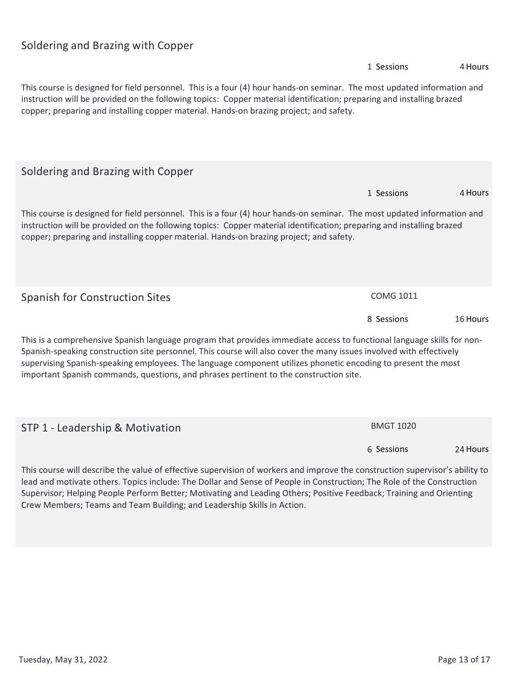#### **Soldering and Brazing with Copper**

# **4Hours This course is designed for field personnel. This is a four (4) hour hands-on seminar. The most updated information and instruction will be provided on the following topics: Copper material identification; preparing and installing brazed copper; preparing and installing copper material. Hands-on brazing project; and safety. 1 Sessions Soldering and Brazing with Copper 4Hours This course is designed for field personnel. This is a four (4) hour hands-on seminar. The most updated information and instruction will be provided on the following topics: Copper material identification; preparing and installing brazed copper; preparing and installing copper material. Hands-on brazing project; and safety. 1 Sessions Spanish for Construction Sites <b>by COMG 1011 16Hours This is a comprehensive Spanish language program that provides immediate access to functional language skills for non-Spanish-speaking construction site personnel. This course will also cover the many issues involved with effectively supervising Spanish-speaking employees. The language component utilizes phonetic encoding to present the most important Spanish commands, questions, and phrases pertinent to the construction site. 8 Sessions STP 1 - Leadership & Motivation <br>
<b>BMGT 1020**

**This course will describe the value of effective supervision of workers and improve the construction supervisor's ability to lead and motivate others. Topics include: The Dollar and Sense of People in Construction; The Role of the Construction Supervisor; Helping People Perform Better; Motivating and Leading Others; Positive Feedback; Training and Orienting Crew Members; Teams and Team Building; and Leadership Skills in Action.**

**6 Sessions**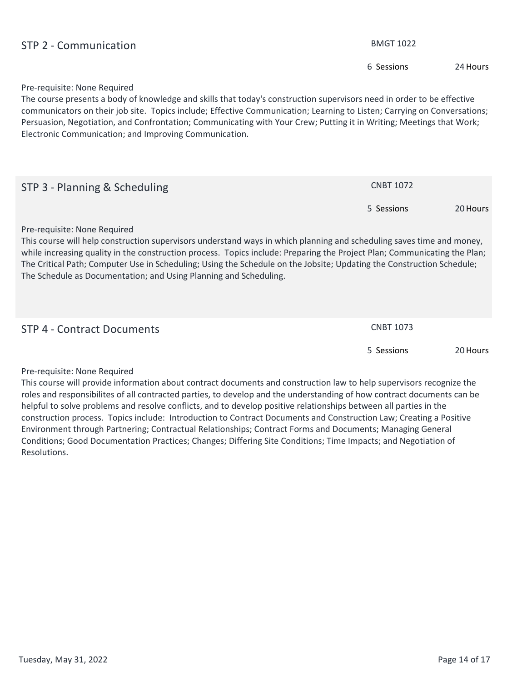| STP 2 - Communication                                                                                                                                                                                                                                                                                                                                                                                                                                                            | <b>BMGT 1022</b> |          |
|----------------------------------------------------------------------------------------------------------------------------------------------------------------------------------------------------------------------------------------------------------------------------------------------------------------------------------------------------------------------------------------------------------------------------------------------------------------------------------|------------------|----------|
|                                                                                                                                                                                                                                                                                                                                                                                                                                                                                  | 6 Sessions       | 24 Hours |
| Pre-requisite: None Required<br>The course presents a body of knowledge and skills that today's construction supervisors need in order to be effective<br>communicators on their job site. Topics include; Effective Communication; Learning to Listen; Carrying on Conversations;<br>Persuasion, Negotiation, and Confrontation; Communicating with Your Crew; Putting it in Writing; Meetings that Work;<br>Electronic Communication; and Improving Communication.             |                  |          |
| STP 3 - Planning & Scheduling                                                                                                                                                                                                                                                                                                                                                                                                                                                    | <b>CNBT 1072</b> |          |
|                                                                                                                                                                                                                                                                                                                                                                                                                                                                                  | 5 Sessions       | 20 Hours |
| Pre-requisite: None Required<br>This course will help construction supervisors understand ways in which planning and scheduling saves time and money,<br>while increasing quality in the construction process. Topics include: Preparing the Project Plan; Communicating the Plan;<br>The Critical Path; Computer Use in Scheduling; Using the Schedule on the Jobsite; Updating the Construction Schedule;<br>The Schedule as Documentation; and Using Planning and Scheduling. |                  |          |
| <b>STP 4 - Contract Documents</b>                                                                                                                                                                                                                                                                                                                                                                                                                                                | <b>CNBT 1073</b> |          |
|                                                                                                                                                                                                                                                                                                                                                                                                                                                                                  | 5 Sessions       | 20 Hours |
| Pre-requisite: None Required<br>This course will provide information about contract documents and construction law to help supervisors recognize the<br>العرمم مفعرم ويتمحصه والمسفوم والمستحام ومعالمته والمساوية والمساحي والمساوي والمتموسف والمتلق ومفازا والمعرمون ومسامع ومالوس                                                                                                                                                                                            |                  |          |

**roles and responsibilites of all contracted parties, to develop and the understanding of how contract documents can be helpful to solve problems and resolve conflicts, and to develop positive relationships between all parties in the construction process. Topics include: Introduction to Contract Documents and Construction Law; Creating a Positive Environment through Partnering; Contractual Relationships; Contract Forms and Documents; Managing General Conditions; Good Documentation Practices; Changes; Differing Site Conditions; Time Impacts; and Negotiation of Resolutions.**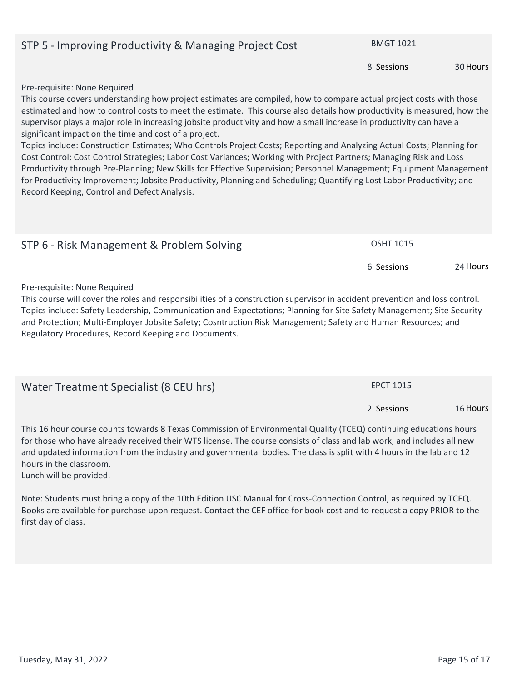#### **STP 5 - Improving Productivity & Managing Project Cost BMGT 1021**

**Pre-requisite: None Required**

**This course covers understanding how project estimates are compiled, how to compare actual project costs with those estimated and how to control costs to meet the estimate. This course also details how productivity is measured, how the supervisor plays a major role in increasing jobsite productivity and how a small increase in productivity can have a significant impact on the time and cost of a project.**

**Topics include: Construction Estimates; Who Controls Project Costs; Reporting and Analyzing Actual Costs; Planning for Cost Control; Cost Control Strategies; Labor Cost Variances; Working with Project Partners; Managing Risk and Loss Productivity through Pre-Planning; New Skills for Effective Supervision; Personnel Management; Equipment Management for Productivity Improvement; Jobsite Productivity, Planning and Scheduling; Quantifying Lost Labor Productivity; and Record Keeping, Control and Defect Analysis.**

| STP 6 - Risk Management & Problem Solving                                                                                                                                                                                      | <b>OSHT 1015</b> |          |
|--------------------------------------------------------------------------------------------------------------------------------------------------------------------------------------------------------------------------------|------------------|----------|
|                                                                                                                                                                                                                                | 6 Sessions       | 24 Hours |
| Pre-requisite: None Required                                                                                                                                                                                                   |                  |          |
| This experience the contract of the constant different construction of constanting and dealership and the constant dealership and the constant of the constant of the constant of the constant of the constant of the constant |                  |          |

**This course will cover the roles and responsibilities of a construction supervisor in accident prevention and loss control. Topics include: Safety Leadership, Communication and Expectations; Planning for Site Safety Management; Site Security and Protection; Multi-Employer Jobsite Safety; Cosntruction Risk Management; Safety and Human Resources; and Regulatory Procedures, Record Keeping and Documents.**

| Water Treatment Specialist (8 CEU hrs) | <b>EPCT 1015</b> |          |
|----------------------------------------|------------------|----------|
|                                        | 2 Sessions       | 16 Hours |

**This 16 hour course counts towards 8 Texas Commission of Environmental Quality (TCEQ) continuing educations hours for those who have already received their WTS license. The course consists of class and lab work, and includes all new and updated information from the industry and governmental bodies. The class is split with 4 hours in the lab and 12 hours in the classroom.** 

**Lunch will be provided.**

**Note: Students must bring a copy of the 10th Edition USC Manual for Cross-Connection Control, as required by TCEQ. Books are available for purchase upon request. Contact the CEF office for book cost and to request a copy PRIOR to the first day of class.**

**8 Sessions**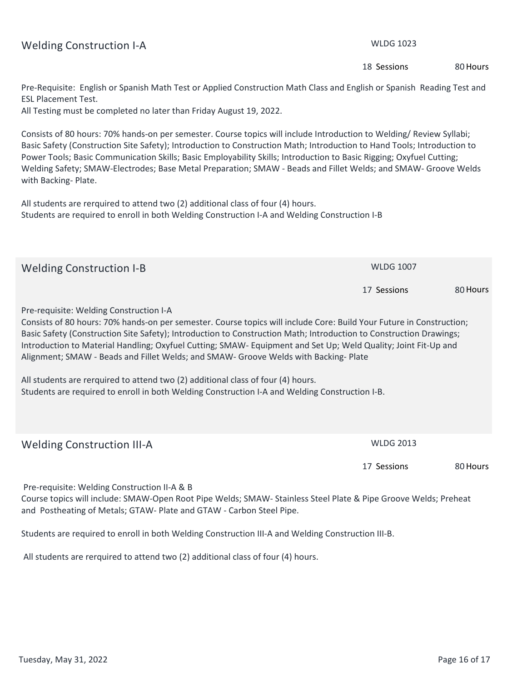| <b>ESL Placement Test.</b><br>All Testing must be completed no later than Friday August 19, 2022.                                                                                                                                                                                                                                                                                                                                                                                                                |                  |          |  |
|------------------------------------------------------------------------------------------------------------------------------------------------------------------------------------------------------------------------------------------------------------------------------------------------------------------------------------------------------------------------------------------------------------------------------------------------------------------------------------------------------------------|------------------|----------|--|
| Consists of 80 hours: 70% hands-on per semester. Course topics will include Introduction to Welding/ Review Syllabi;<br>Basic Safety (Construction Site Safety); Introduction to Construction Math; Introduction to Hand Tools; Introduction to<br>Power Tools; Basic Communication Skills; Basic Employability Skills; Introduction to Basic Rigging; Oxyfuel Cutting;<br>Welding Safety; SMAW-Electrodes; Base Metal Preparation; SMAW - Beads and Fillet Welds; and SMAW- Groove Welds<br>with Backing-Plate. |                  |          |  |
| All students are rerquired to attend two (2) additional class of four (4) hours.<br>Students are required to enroll in both Welding Construction I-A and Welding Construction I-B                                                                                                                                                                                                                                                                                                                                |                  |          |  |
| <b>Welding Construction I-B</b>                                                                                                                                                                                                                                                                                                                                                                                                                                                                                  | <b>WLDG 1007</b> |          |  |
|                                                                                                                                                                                                                                                                                                                                                                                                                                                                                                                  | 17 Sessions      | 80 Hours |  |
| Pre-requisite: Welding Construction I-A<br>Consists of 80 hours: 70% hands-on per semester. Course topics will include Core: Build Your Future in Construction;<br>Basic Safety (Construction Site Safety); Introduction to Construction Math; Introduction to Construction Drawings;<br>Introduction to Material Handling; Oxyfuel Cutting; SMAW- Equipment and Set Up; Weld Quality; Joint Fit-Up and<br>Alignment; SMAW - Beads and Fillet Welds; and SMAW- Groove Welds with Backing-Plate                   |                  |          |  |
| All students are rerquired to attend two (2) additional class of four (4) hours.<br>Students are required to enroll in both Welding Construction I-A and Welding Construction I-B.                                                                                                                                                                                                                                                                                                                               |                  |          |  |
| <b>Welding Construction III-A</b>                                                                                                                                                                                                                                                                                                                                                                                                                                                                                | <b>WLDG 2013</b> |          |  |
|                                                                                                                                                                                                                                                                                                                                                                                                                                                                                                                  | 17 Sessions      | 80 Hours |  |
| Pre-requisite: Welding Construction II-A & B<br>Course topics will include: SMAW-Open Root Pipe Welds; SMAW- Stainless Steel Plate & Pipe Groove Welds; Preheat<br>and Postheating of Metals; GTAW- Plate and GTAW - Carbon Steel Pipe.                                                                                                                                                                                                                                                                          |                  |          |  |
| Students are required to enroll in both Welding Construction III-A and Welding Construction III-B.                                                                                                                                                                                                                                                                                                                                                                                                               |                  |          |  |

**Pre-Requisite: English or Spanish Math Test or Applied Construction Math Class and English or Spanish Reading Test and** 

 **All students are rerquired to attend two (2) additional class of four (4) hours.**

### Welding Construction I-A **WELD CONSTRUCTED** WEDG 1023

**18 Sessions**